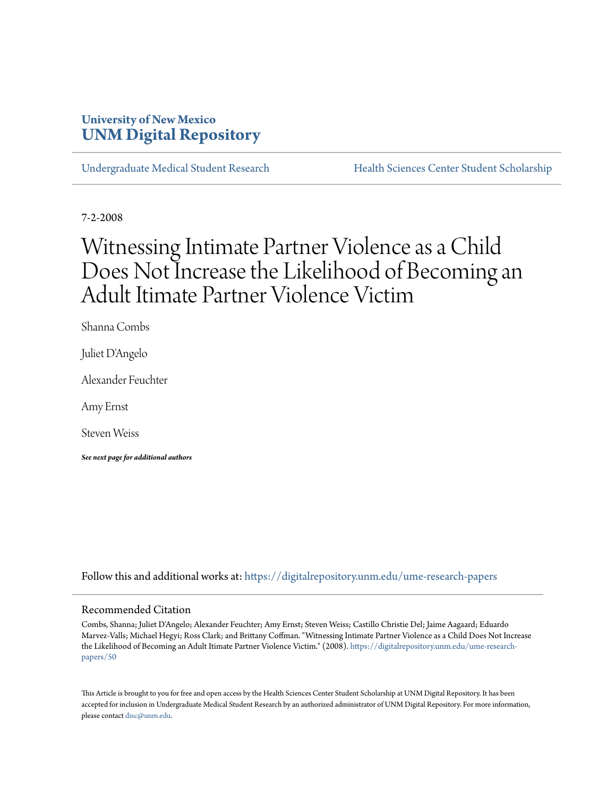# **University of New Mexico [UNM Digital Repository](https://digitalrepository.unm.edu?utm_source=digitalrepository.unm.edu%2Fume-research-papers%2F50&utm_medium=PDF&utm_campaign=PDFCoverPages)**

[Undergraduate Medical Student Research](https://digitalrepository.unm.edu/ume-research-papers?utm_source=digitalrepository.unm.edu%2Fume-research-papers%2F50&utm_medium=PDF&utm_campaign=PDFCoverPages) [Health Sciences Center Student Scholarship](https://digitalrepository.unm.edu/hsc-students?utm_source=digitalrepository.unm.edu%2Fume-research-papers%2F50&utm_medium=PDF&utm_campaign=PDFCoverPages)

7-2-2008

# Witnessing Intimate Partner Violence as a Child Does Not Increase the Likelihood of Becoming an Adult Itimate Partner Violence Victim

Shanna Combs

Juliet D'Angelo

Alexander Feuchter

Amy Ernst

Steven Weiss

*See next page for additional authors*

Follow this and additional works at: [https://digitalrepository.unm.edu/ume-research-papers](https://digitalrepository.unm.edu/ume-research-papers?utm_source=digitalrepository.unm.edu%2Fume-research-papers%2F50&utm_medium=PDF&utm_campaign=PDFCoverPages)

# Recommended Citation

Combs, Shanna; Juliet D'Angelo; Alexander Feuchter; Amy Ernst; Steven Weiss; Castillo Christie Del; Jaime Aagaard; Eduardo Marvez-Valls; Michael Hegyi; Ross Clark; and Brittany Coffman. "Witnessing Intimate Partner Violence as a Child Does Not Increase the Likelihood of Becoming an Adult Itimate Partner Violence Victim." (2008). [https://digitalrepository.unm.edu/ume-research](https://digitalrepository.unm.edu/ume-research-papers/50?utm_source=digitalrepository.unm.edu%2Fume-research-papers%2F50&utm_medium=PDF&utm_campaign=PDFCoverPages)[papers/50](https://digitalrepository.unm.edu/ume-research-papers/50?utm_source=digitalrepository.unm.edu%2Fume-research-papers%2F50&utm_medium=PDF&utm_campaign=PDFCoverPages)

This Article is brought to you for free and open access by the Health Sciences Center Student Scholarship at UNM Digital Repository. It has been accepted for inclusion in Undergraduate Medical Student Research by an authorized administrator of UNM Digital Repository. For more information, please contact [disc@unm.edu.](mailto:disc@unm.edu)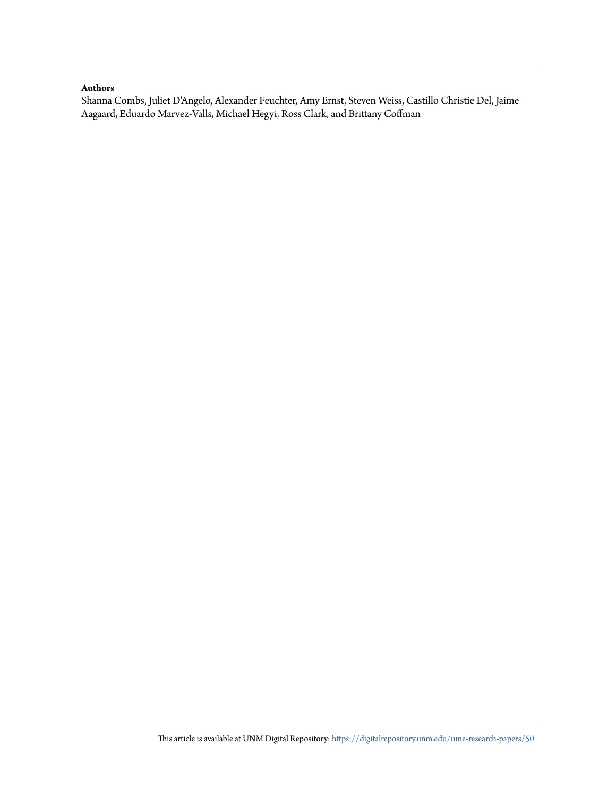# **Authors**

Shanna Combs, Juliet D'Angelo, Alexander Feuchter, Amy Ernst, Steven Weiss, Castillo Christie Del, Jaime Aagaard, Eduardo Marvez-Valls, Michael Hegyi, Ross Clark, and Brittany Coffman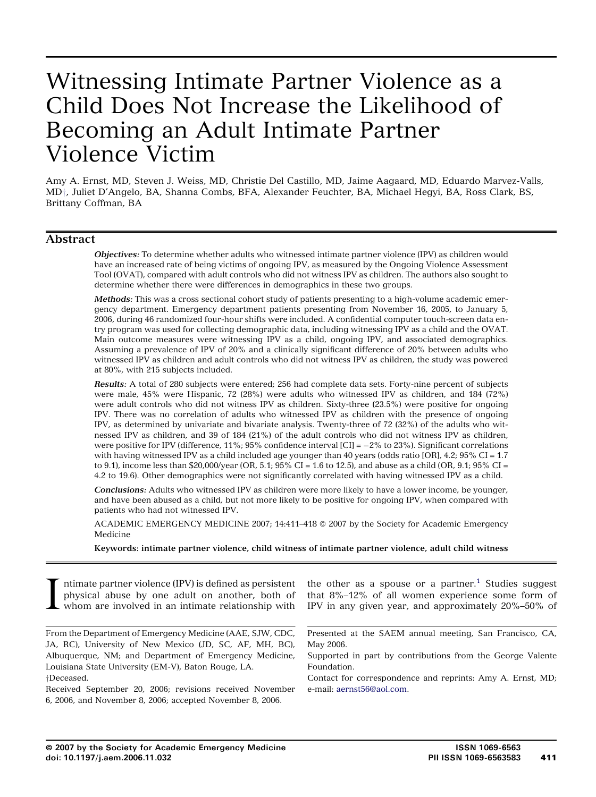# Witnessing Intimate Partner Violence as a Child Does Not Increase the Likelihood of Becoming an Adult Intimate Partner Violence Victim

Amy A. Ernst, MD, Steven J. Weiss, MD, Christie Del Castillo, MD, Jaime Aagaard, MD, Eduardo Marvez-Valls, MD<sup>†</sup>, Juliet D'Angelo, BA, Shanna Combs, BFA, Alexander Feuchter, BA, Michael Hegyi, BA, Ross Clark, BS, Brittany Coffman, BA

# Abstract

Objectives: To determine whether adults who witnessed intimate partner violence (IPV) as children would have an increased rate of being victims of ongoing IPV, as measured by the Ongoing Violence Assessment Tool (OVAT), compared with adult controls who did not witness IPV as children. The authors also sought to determine whether there were differences in demographics in these two groups.

Methods: This was a cross sectional cohort study of patients presenting to a high-volume academic emergency department. Emergency department patients presenting from November 16, 2005, to January 5, 2006, during 46 randomized four-hour shifts were included. A confidential computer touch-screen data entry program was used for collecting demographic data, including witnessing IPV as a child and the OVAT. Main outcome measures were witnessing IPV as a child, ongoing IPV, and associated demographics. Assuming a prevalence of IPV of 20% and a clinically significant difference of 20% between adults who witnessed IPV as children and adult controls who did not witness IPV as children, the study was powered at 80%, with 215 subjects included.

Results: A total of 280 subjects were entered; 256 had complete data sets. Forty-nine percent of subjects were male, 45% were Hispanic, 72 (28%) were adults who witnessed IPV as children, and 184 (72%) were adult controls who did not witness IPV as children. Sixty-three (23.5%) were positive for ongoing IPV. There was no correlation of adults who witnessed IPV as children with the presence of ongoing IPV, as determined by univariate and bivariate analysis. Twenty-three of 72 (32%) of the adults who witnessed IPV as children, and 39 of 184 (21%) of the adult controls who did not witness IPV as children, were positive for IPV (difference, 11%; 95% confidence interval [CI] =  $-2\%$  to 23%). Significant correlations with having witnessed IPV as a child included age younger than 40 years (odds ratio [OR], 4.2; 95% CI = 1.7 to 9.1), income less than \$20,000/year (OR, 5.1; 95% CI = 1.6 to 12.5), and abuse as a child (OR, 9.1; 95% CI = 4.2 to 19.6). Other demographics were not significantly correlated with having witnessed IPV as a child.

Conclusions: Adults who witnessed IPV as children were more likely to have a lower income, be younger, and have been abused as a child, but not more likely to be positive for ongoing IPV, when compared with patients who had not witnessed IPV.

ACADEMIC EMERGENCY MEDICINE 2007; 14:411-418 @ 2007 by the Society for Academic Emergency Medicine

Keywords: intimate partner violence, child witness of intimate partner violence, adult child witness

I ntimate partner violence (IPV) is defined as persistent physical abuse by one adult on another, both of whom are involved in an intimate relationship with

From the Department of Emergency Medicine (AAE, SJW, CDC, JA, RC), University of New Mexico (JD, SC, AF, MH, BC), Albuquerque, NM; and Department of Emergency Medicine, Louisiana State University (EM-V), Baton Rouge, LA. yDeceased.

Received September 20, 2006; revisions received November 6, 2006, and November 8, 2006; accepted November 8, 2006.

the other as a spouse or a partner.<sup>[1](#page-8-0)</sup> Studies suggest that 8%–12% of all women experience some form of IPV in any given year, and approximately 20%–50% of

Presented at the SAEM annual meeting, San Francisco, CA, May 2006.

Supported in part by contributions from the George Valente Foundation.

Contact for correspondence and reprints: Amy A. Ernst, MD; e-mail: [aernst56@aol.com.](mailto:aernst56@aol.com)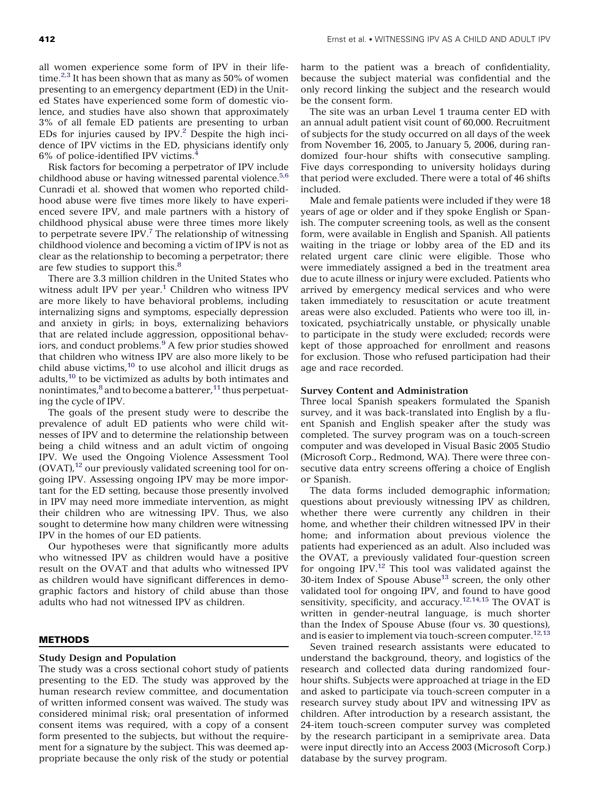all women experience some form of IPV in their life-time.<sup>[2,3](#page-8-0)</sup> It has been shown that as many as  $50\%$  of women presenting to an emergency department (ED) in the United States have experienced some form of domestic violence, and studies have also shown that approximately 3% of all female ED patients are presenting to urban EDs for injuries caused by IPV[.2](#page-8-0) Despite the high incidence of IPV victims in the ED, physicians identify only 6% of police-identified IPV victims.[4](#page-8-0)

Risk factors for becoming a perpetrator of IPV include childhood abuse or having witnessed parental violence.<sup>5,6</sup> Cunradi et al. showed that women who reported childhood abuse were five times more likely to have experienced severe IPV, and male partners with a history of childhood physical abuse were three times more likely to perpetrate severe  $IPV<sup>7</sup>$  $IPV<sup>7</sup>$  $IPV<sup>7</sup>$ . The relationship of witnessing childhood violence and becoming a victim of IPV is not as clear as the relationship to becoming a perpetrator; there are few studies to support this.<sup>[8](#page-8-0)</sup>

There are 3.3 million children in the United States who witness adult IPV per year.<sup>[1](#page-8-0)</sup> Children who witness IPV are more likely to have behavioral problems, including internalizing signs and symptoms, especially depression and anxiety in girls; in boys, externalizing behaviors that are related include aggression, oppositional behav-iors, and conduct problems.<sup>[9](#page-8-0)</sup> A few prior studies showed that children who witness IPV are also more likely to be child abuse victims, $10$  to use alcohol and illicit drugs as adults,[10](#page-8-0) to be victimized as adults by both intimates and nonintimates, $^8$  and to become a batterer,  $^{11}$  thus perpetuating the cycle of IPV.

The goals of the present study were to describe the prevalence of adult ED patients who were child witnesses of IPV and to determine the relationship between being a child witness and an adult victim of ongoing IPV. We used the Ongoing Violence Assessment Tool  $(OVAT)<sup>12</sup>$  $(OVAT)<sup>12</sup>$  $(OVAT)<sup>12</sup>$  our previously validated screening tool for ongoing IPV. Assessing ongoing IPV may be more important for the ED setting, because those presently involved in IPV may need more immediate intervention, as might their children who are witnessing IPV. Thus, we also sought to determine how many children were witnessing IPV in the homes of our ED patients.

Our hypotheses were that significantly more adults who witnessed IPV as children would have a positive result on the OVAT and that adults who witnessed IPV as children would have significant differences in demographic factors and history of child abuse than those adults who had not witnessed IPV as children.

#### METHODS

#### Study Design and Population

The study was a cross sectional cohort study of patients presenting to the ED. The study was approved by the human research review committee, and documentation of written informed consent was waived. The study was considered minimal risk; oral presentation of informed consent items was required, with a copy of a consent form presented to the subjects, but without the requirement for a signature by the subject. This was deemed appropriate because the only risk of the study or potential harm to the patient was a breach of confidentiality, because the subject material was confidential and the only record linking the subject and the research would be the consent form.

The site was an urban Level 1 trauma center ED with an annual adult patient visit count of 60,000. Recruitment of subjects for the study occurred on all days of the week from November 16, 2005, to January 5, 2006, during randomized four-hour shifts with consecutive sampling. Five days corresponding to university holidays during that period were excluded. There were a total of 46 shifts included.

Male and female patients were included if they were 18 years of age or older and if they spoke English or Spanish. The computer screening tools, as well as the consent form, were available in English and Spanish. All patients waiting in the triage or lobby area of the ED and its related urgent care clinic were eligible. Those who were immediately assigned a bed in the treatment area due to acute illness or injury were excluded. Patients who arrived by emergency medical services and who were taken immediately to resuscitation or acute treatment areas were also excluded. Patients who were too ill, intoxicated, psychiatrically unstable, or physically unable to participate in the study were excluded; records were kept of those approached for enrollment and reasons for exclusion. Those who refused participation had their age and race recorded.

### Survey Content and Administration

Three local Spanish speakers formulated the Spanish survey, and it was back-translated into English by a fluent Spanish and English speaker after the study was completed. The survey program was on a touch-screen computer and was developed in Visual Basic 2005 Studio (Microsoft Corp., Redmond, WA). There were three consecutive data entry screens offering a choice of English or Spanish.

The data forms included demographic information; questions about previously witnessing IPV as children, whether there were currently any children in their home, and whether their children witnessed IPV in their home; and information about previous violence the patients had experienced as an adult. Also included was the OVAT, a previously validated four-question screen for ongoing IPV. $^{12}$  $^{12}$  $^{12}$  This tool was validated against the 30-item Index of Spouse Abuse<sup>13</sup> screen, the only other validated tool for ongoing IPV, and found to have good sensitivity, specificity, and accuracy.<sup>[12,14,15](#page-9-0)</sup> The OVAT is written in gender-neutral language, is much shorter than the Index of Spouse Abuse (four vs. 30 questions), and is easier to implement via touch-screen computer.<sup>[12,13](#page-9-0)</sup>

Seven trained research assistants were educated to understand the background, theory, and logistics of the research and collected data during randomized fourhour shifts. Subjects were approached at triage in the ED and asked to participate via touch-screen computer in a research survey study about IPV and witnessing IPV as children. After introduction by a research assistant, the 24-item touch-screen computer survey was completed by the research participant in a semiprivate area. Data were input directly into an Access 2003 (Microsoft Corp.) database by the survey program.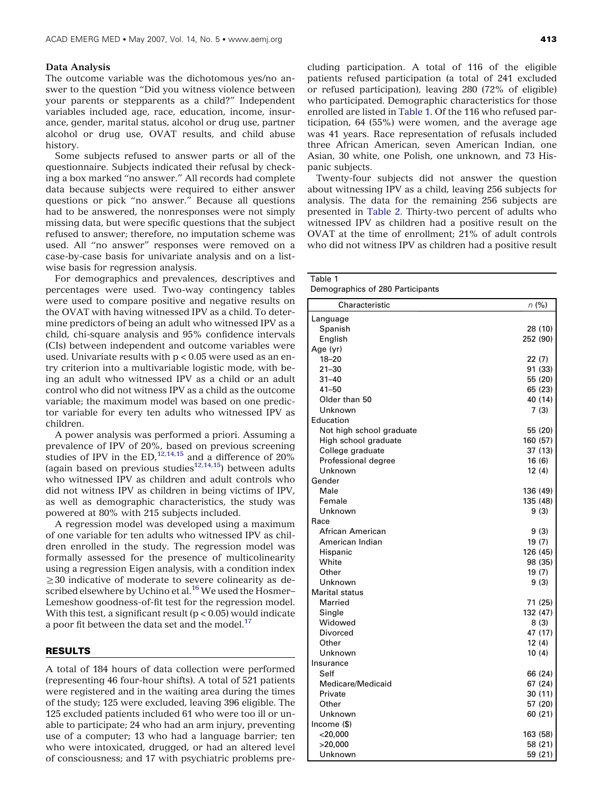#### Data Analysis

The outcome variable was the dichotomous yes/no answer to the question ''Did you witness violence between your parents or stepparents as a child?'' Independent variables included age, race, education, income, insurance, gender, marital status, alcohol or drug use, partner alcohol or drug use, OVAT results, and child abuse history.

Some subjects refused to answer parts or all of the questionnaire. Subjects indicated their refusal by checking a box marked ''no answer.'' All records had complete data because subjects were required to either answer questions or pick ''no answer.'' Because all questions had to be answered, the nonresponses were not simply missing data, but were specific questions that the subject refused to answer; therefore, no imputation scheme was used. All ''no answer'' responses were removed on a case-by-case basis for univariate analysis and on a listwise basis for regression analysis.

For demographics and prevalences, descriptives and percentages were used. Two-way contingency tables were used to compare positive and negative results on the OVAT with having witnessed IPV as a child. To determine predictors of being an adult who witnessed IPV as a child, chi-square analysis and 95% confidence intervals (CIs) between independent and outcome variables were used. Univariate results with  $p < 0.05$  were used as an entry criterion into a multivariable logistic mode, with being an adult who witnessed IPV as a child or an adult control who did not witness IPV as a child as the outcome variable; the maximum model was based on one predictor variable for every ten adults who witnessed IPV as children.

A power analysis was performed a priori. Assuming a prevalence of IPV of 20%, based on previous screening studies of IPV in the  $ED<sub>12,14,15</sub>$  $ED<sub>12,14,15</sub>$  $ED<sub>12,14,15</sub>$  and a difference of 20% (again based on previous studies<sup>12,14,15</sup>) between adults who witnessed IPV as children and adult controls who did not witness IPV as children in being victims of IPV, as well as demographic characteristics, the study was powered at 80% with 215 subjects included.

A regression model was developed using a maximum of one variable for ten adults who witnessed IPV as children enrolled in the study. The regression model was formally assessed for the presence of multicolinearity using a regression Eigen analysis, with a condition index  $\geq$ 30 indicative of moderate to severe colinearity as de-scribed elsewhere by Uchino et al.<sup>[16](#page-9-0)</sup> We used the Hosmer-Lemeshow goodness-of-fit test for the regression model. With this test, a significant result ( $p < 0.05$ ) would indicate a poor fit between the data set and the model.<sup>[17](#page-9-0)</sup>

# RESULTS

A total of 184 hours of data collection were performed (representing 46 four-hour shifts). A total of 521 patients were registered and in the waiting area during the times of the study; 125 were excluded, leaving 396 eligible. The 125 excluded patients included 61 who were too ill or unable to participate; 24 who had an arm injury, preventing use of a computer; 13 who had a language barrier; ten who were intoxicated, drugged, or had an altered level of consciousness; and 17 with psychiatric problems pre-

cluding participation. A total of 116 of the eligible patients refused participation (a total of 241 excluded or refused participation), leaving 280 (72% of eligible) who participated. Demographic characteristics for those enrolled are listed in Table 1. Of the 116 who refused participation, 64 (55%) were women, and the average age was 41 years. Race representation of refusals included three African American, seven American Indian, one Asian, 30 white, one Polish, one unknown, and 73 Hispanic subjects.

Twenty-four subjects did not answer the question about witnessing IPV as a child, leaving 256 subjects for analysis. The data for the remaining 256 subjects are presented in [Table 2.](#page-5-0) Thirty-two percent of adults who witnessed IPV as children had a positive result on the OVAT at the time of enrollment; 21% of adult controls who did not witness IPV as children had a positive result

#### Table 1

Demographics of 280 Participants

| Characteristic           | n(%)     |
|--------------------------|----------|
| Language                 |          |
| Spanish                  | 28 (10)  |
| English                  | 252 (90) |
| Age (yr)                 |          |
| $18 - 20$                | 22 (7)   |
| $21 - 30$                | 91 (33)  |
| 31–40                    | 55 (20)  |
| 41-50                    | 65 (23)  |
| Older than 50            | 40 (14)  |
| Unknown                  | 7(3)     |
| Education                |          |
| Not high school graduate | 55 (20)  |
| High school graduate     | 160 (57) |
| College graduate         | 37 (13)  |
| Professional degree      | 16 (6)   |
| Unknown                  | 12(4)    |
| Gender                   |          |
| Male                     | 136 (49) |
| Female                   | 135 (48) |
| Unknown                  | 9(3)     |
| Race                     |          |
| African American         | 9 (3)    |
| American Indian          | 19(7)    |
| Hispanic                 | 126 (45) |
| White                    | 98 (35)  |
| Other                    | 19(7)    |
| Unknown                  | 9(3)     |
| Marital status           |          |
| Married                  | 71 (25)  |
| Single                   | 132 (47) |
| Widowed                  | 8(3)     |
| Divorced                 | 47 (17)  |
| Other                    | 12(4)    |
| Unknown                  | 10(4)    |
| Insurance                |          |
| Self                     | 66 (24)  |
| Medicare/Medicaid        | 67 (24)  |
| Private                  | 30(11)   |
| Other                    | 57 (20)  |
| Unknown                  | 60 (21)  |
| $lncome$ (\$)            |          |
| $<$ 20,000               | 163 (58) |
| >20,000                  | 58 (21)  |
| Unknown                  | 59 (21)  |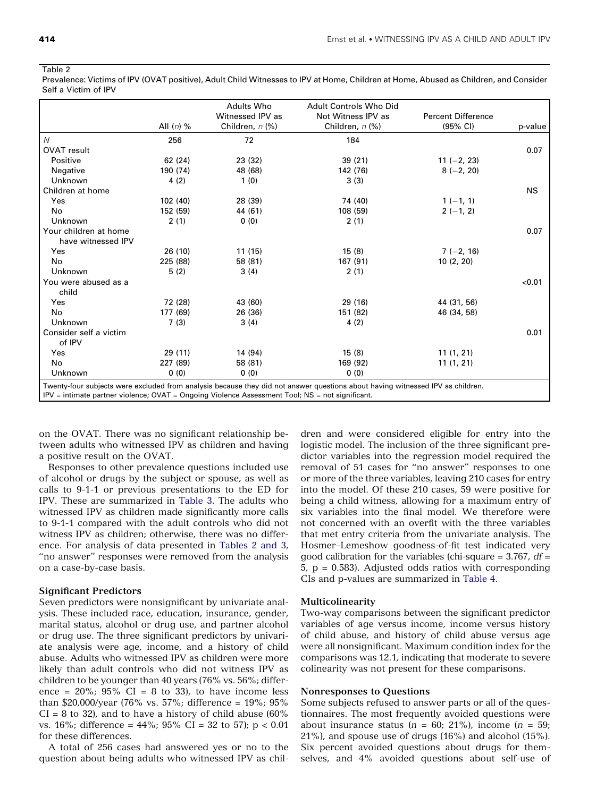#### <span id="page-5-0"></span>Table 2

Prevalence: Victims of IPV (OVAT positive), Adult Child Witnesses to IPV at Home, Children at Home, Abused as Children, and Consider Self a Victim of IPV

|                                             |             | <b>Adults Who</b><br>Witnessed IPV as | Adult Controls Who Did<br>Not Witness IPV as                                                                                   | <b>Percent Difference</b> |           |
|---------------------------------------------|-------------|---------------------------------------|--------------------------------------------------------------------------------------------------------------------------------|---------------------------|-----------|
|                                             | All $(n)$ % | Children, $n$ (%)                     | Children, $n$ (%)                                                                                                              | (95% CI)                  | p-value   |
| $\boldsymbol{N}$                            | 256         | 72                                    | 184                                                                                                                            |                           |           |
| <b>OVAT</b> result                          |             |                                       |                                                                                                                                |                           | 0.07      |
| Positive                                    | 62 (24)     | 23 (32)                               | 39(21)                                                                                                                         | 11 $(-2, 23)$             |           |
| Negative                                    | 190 (74)    | 48 (68)                               | 142 (76)                                                                                                                       | $8(-2, 20)$               |           |
| Unknown                                     | 4(2)        | 1(0)                                  | 3(3)                                                                                                                           |                           |           |
| Children at home                            |             |                                       |                                                                                                                                |                           | <b>NS</b> |
| Yes                                         | 102(40)     | 28 (39)                               | 74 (40)                                                                                                                        | $1(-1, 1)$                |           |
| No                                          | 152 (59)    | 44 (61)                               | 108 (59)                                                                                                                       | $2(-1, 2)$                |           |
| Unknown                                     | 2(1)        | 0(0)                                  | 2(1)                                                                                                                           |                           |           |
| Your children at home<br>have witnessed IPV |             |                                       |                                                                                                                                |                           | 0.07      |
| Yes                                         | 26 (10)     | 11 (15)                               | 15(8)                                                                                                                          | $7(-2, 16)$               |           |
| No                                          | 225 (88)    | 58 (81)                               | 167 (91)                                                                                                                       | 10(2, 20)                 |           |
| Unknown                                     | 5(2)        | 3(4)                                  | 2(1)                                                                                                                           |                           |           |
| You were abused as a<br>child               |             |                                       |                                                                                                                                |                           | < 0.01    |
| Yes                                         | 72 (28)     | 43 (60)                               | 29 (16)                                                                                                                        | 44 (31, 56)               |           |
| <b>No</b>                                   | 177 (69)    | 26 (36)                               | 151 (82)                                                                                                                       | 46 (34, 58)               |           |
| Unknown                                     | 7(3)        | 3(4)                                  | 4(2)                                                                                                                           |                           |           |
| Consider self a victim<br>of IPV            |             |                                       |                                                                                                                                |                           | 0.01      |
| Yes                                         | 29 (11)     | 14 (94)                               | 15(8)                                                                                                                          | 11(1, 21)                 |           |
| No                                          | 227 (89)    | 58 (81)                               | 169 (92)                                                                                                                       | 11(1, 21)                 |           |
| Unknown                                     | 0(0)        | 0(0)                                  | 0(0)                                                                                                                           |                           |           |
|                                             |             |                                       | Twenty-four subjects were excluded from analysis because they did not answer questions about having witnessed IPV as children. |                           |           |

IPV = intimate partner violence; OVAT = Ongoing Violence Assessment Tool; NS = not significant.

on the OVAT. There was no significant relationship between adults who witnessed IPV as children and having a positive result on the OVAT.

Responses to other prevalence questions included use of alcohol or drugs by the subject or spouse, as well as calls to 9-1-1 or previous presentations to the ED for IPV. These are summarized in [Table 3](#page-6-0). The adults who witnessed IPV as children made significantly more calls to 9-1-1 compared with the adult controls who did not witness IPV as children; otherwise, there was no difference. For analysis of data presented in Tables 2 and 3, "no answer" responses were removed from the analysis on a case-by-case basis.

# Significant Predictors

Seven predictors were nonsignificant by univariate analysis. These included race, education, insurance, gender, marital status, alcohol or drug use, and partner alcohol or drug use. The three significant predictors by univariate analysis were age, income, and a history of child abuse. Adults who witnessed IPV as children were more likely than adult controls who did not witness IPV as children to be younger than 40 years (76% vs. 56%; difference =  $20\%$ ;  $95\%$  CI = 8 to 33), to have income less than \$20,000/year (76% vs. 57%; difference = 19%; 95%  $CI = 8$  to 32), and to have a history of child abuse  $(60\%$ vs. 16%; difference =  $44\%$ ; 95% CI = 32 to 57); p < 0.01 for these differences.

A total of 256 cases had answered yes or no to the question about being adults who witnessed IPV as children and were considered eligible for entry into the logistic model. The inclusion of the three significant predictor variables into the regression model required the removal of 51 cases for "no answer" responses to one or more of the three variables, leaving 210 cases for entry into the model. Of these 210 cases, 59 were positive for being a child witness, allowing for a maximum entry of six variables into the final model. We therefore were not concerned with an overfit with the three variables that met entry criteria from the univariate analysis. The Hosmer–Lemeshow goodness-of-fit test indicated very good calibration for the variables (chi-square  $=$  3.767, df  $=$  $5$ ,  $p = 0.583$ ). Adjusted odds ratios with corresponding CIs and p-values are summarized in [Table 4](#page-6-0).

#### Multicolinearity

Two-way comparisons between the significant predictor variables of age versus income, income versus history of child abuse, and history of child abuse versus age were all nonsignificant. Maximum condition index for the comparisons was 12.1, indicating that moderate to severe colinearity was not present for these comparisons.

#### Nonresponses to Questions

Some subjects refused to answer parts or all of the questionnaires. The most frequently avoided questions were about insurance status ( $n = 60$ ; 21%), income ( $n = 59$ ;  $21\%$ ), and spouse use of drugs (16%) and alcohol (15%). Six percent avoided questions about drugs for themselves, and 4% avoided questions about self-use of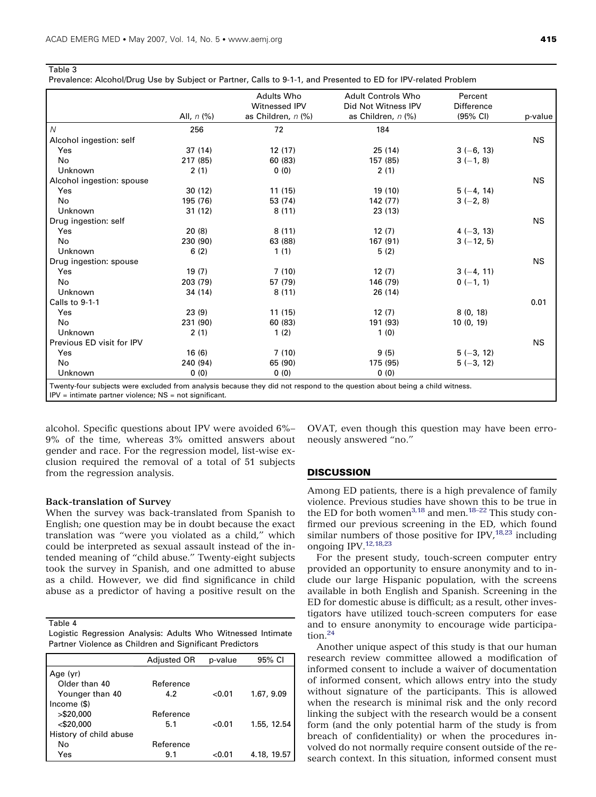# <span id="page-6-0"></span>Table 3

|  |  |  |  |  |  |  | Prevalence: Alcohol/Drug Use by Subject or Partner, Calls to 9-1-1, and Presented to ED for IPV-related Problem |  |  |  |  |
|--|--|--|--|--|--|--|-----------------------------------------------------------------------------------------------------------------|--|--|--|--|
|--|--|--|--|--|--|--|-----------------------------------------------------------------------------------------------------------------|--|--|--|--|

|                                                                                                                            |              | <b>Adults Who</b>  | <b>Adult Controls Who</b> | Percent           |           |
|----------------------------------------------------------------------------------------------------------------------------|--------------|--------------------|---------------------------|-------------------|-----------|
|                                                                                                                            |              | Witnessed IPV      | Did Not Witness IPV       | <b>Difference</b> |           |
|                                                                                                                            | All, $n$ (%) | as Children, n (%) | as Children, n (%)        | $(95%$ CI)        | p-value   |
| $\overline{N}$                                                                                                             | 256          | 72                 | 184                       |                   |           |
| Alcohol ingestion: self                                                                                                    |              |                    |                           |                   | <b>NS</b> |
| Yes                                                                                                                        | 37(14)       | 12(17)             | 25(14)                    | $3(-6, 13)$       |           |
| No                                                                                                                         | 217 (85)     | 60 (83)            | 157 (85)                  | $3(-1, 8)$        |           |
| Unknown                                                                                                                    | 2(1)         | 0(0)               | 2(1)                      |                   |           |
| Alcohol ingestion: spouse                                                                                                  |              |                    |                           |                   | <b>NS</b> |
| Yes                                                                                                                        | 30(12)       | 11(15)             | 19 (10)                   | $5(-4, 14)$       |           |
| No                                                                                                                         | 195 (76)     | 53 (74)            | 142 (77)                  | $3(-2, 8)$        |           |
| Unknown                                                                                                                    | 31(12)       | 8(11)              | 23(13)                    |                   |           |
| Drug ingestion: self                                                                                                       |              |                    |                           |                   | <b>NS</b> |
| Yes                                                                                                                        | 20(8)        | 8(11)              | 12(7)                     | $4(-3, 13)$       |           |
| No                                                                                                                         | 230 (90)     | 63 (88)            | 167 (91)                  | $3(-12, 5)$       |           |
| Unknown                                                                                                                    | 6(2)         | 1(1)               | 5(2)                      |                   |           |
| Drug ingestion: spouse                                                                                                     |              |                    |                           |                   | <b>NS</b> |
| Yes                                                                                                                        | 19(7)        | 7(10)              | 12(7)                     | $3(-4, 11)$       |           |
| No                                                                                                                         | 203 (79)     | 57 (79)            | 146 (79)                  | $0(-1, 1)$        |           |
| Unknown                                                                                                                    | 34 (14)      | 8(11)              | 26 (14)                   |                   |           |
| Calls to 9-1-1                                                                                                             |              |                    |                           |                   | 0.01      |
| Yes                                                                                                                        | 23(9)        | 11(15)             | 12(7)                     | 8(0, 18)          |           |
| No                                                                                                                         | 231 (90)     | 60 (83)            | 191 (93)                  | 10(0, 19)         |           |
| Unknown                                                                                                                    | 2(1)         | 1(2)               | 1(0)                      |                   |           |
| Previous ED visit for IPV                                                                                                  |              |                    |                           |                   | <b>NS</b> |
| Yes                                                                                                                        | 16(6)        | 7(10)              | 9(5)                      | $5(-3, 12)$       |           |
| No                                                                                                                         | 240 (94)     | 65 (90)            | 175 (95)                  | $5(-3, 12)$       |           |
| Unknown                                                                                                                    | 0(0)         | 0(0)               | 0(0)                      |                   |           |
| Twenty-four subjects were excluded from analysis because they did not respond to the question about being a child witness. |              |                    |                           |                   |           |

IPV = intimate partner violence; NS = not significant.

alcohol. Specific questions about IPV were avoided 6%– 9% of the time, whereas 3% omitted answers about gender and race. For the regression model, list-wise exclusion required the removal of a total of 51 subjects from the regression analysis.

#### Back-translation of Survey

When the survey was back-translated from Spanish to English; one question may be in doubt because the exact translation was ''were you violated as a child,'' which could be interpreted as sexual assault instead of the intended meaning of ''child abuse.'' Twenty-eight subjects took the survey in Spanish, and one admitted to abuse as a child. However, we did find significance in child abuse as a predictor of having a positive result on the

Table 4

|  | Logistic Regression Analysis: Adults Who Witnessed Intimate |  |  |
|--|-------------------------------------------------------------|--|--|
|  | Partner Violence as Children and Significant Predictors     |  |  |

|                        | <b>Adjusted OR</b> | p-value | 95% CI      |
|------------------------|--------------------|---------|-------------|
| Age (yr)               |                    |         |             |
| Older than 40          | Reference          |         |             |
| Younger than 40        | 4.2                | < 0.01  | 1.67, 9.09  |
| Income(S)              |                    |         |             |
| > \$20,000             | Reference          |         |             |
| $<$ \$20,000           | 5.1                | < 0.01  | 1.55, 12.54 |
| History of child abuse |                    |         |             |
| No                     | Reference          |         |             |
| Yes                    | 9.1                | <0.01   | 4.18, 19.5  |

OVAT, even though this question may have been erroneously answered "no."

#### **DISCUSSION**

Among ED patients, there is a high prevalence of family violence. Previous studies have shown this to be true in the ED for both women<sup>3,18</sup> and men.<sup>18-22</sup> This study confirmed our previous screening in the ED, which found similar numbers of those positive for IPV, $^{18,23}$  including ongoing IPV.[12,18,23](#page-9-0)

For the present study, touch-screen computer entry provided an opportunity to ensure anonymity and to include our large Hispanic population, with the screens available in both English and Spanish. Screening in the ED for domestic abuse is difficult; as a result, other investigators have utilized touch-screen computers for ease and to ensure anonymity to encourage wide participation[.24](#page-9-0)

Another unique aspect of this study is that our human research review committee allowed a modification of informed consent to include a waiver of documentation of informed consent, which allows entry into the study without signature of the participants. This is allowed when the research is minimal risk and the only record linking the subject with the research would be a consent form (and the only potential harm of the study is from breach of confidentiality) or when the procedures involved do not normally require consent outside of the research context. In this situation, informed consent must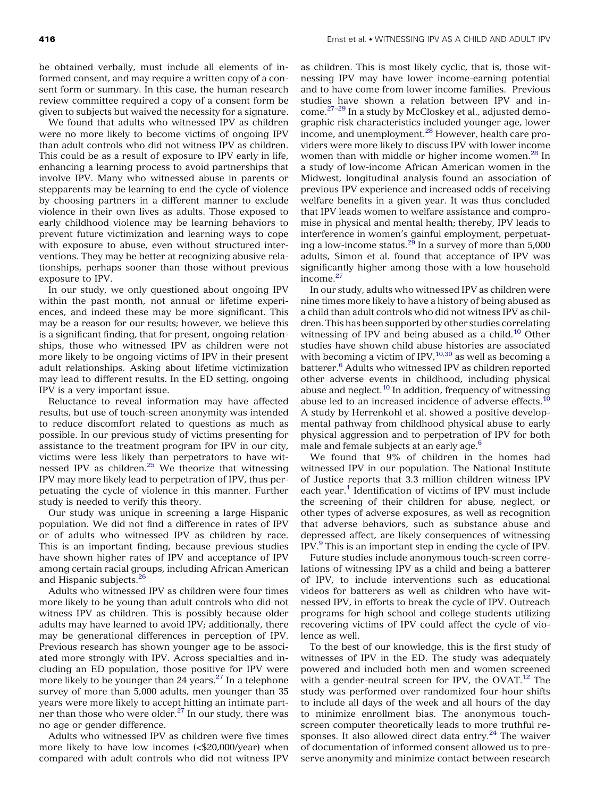be obtained verbally, must include all elements of informed consent, and may require a written copy of a consent form or summary. In this case, the human research review committee required a copy of a consent form be given to subjects but waived the necessity for a signature.

We found that adults who witnessed IPV as children were no more likely to become victims of ongoing IPV than adult controls who did not witness IPV as children. This could be as a result of exposure to IPV early in life, enhancing a learning process to avoid partnerships that involve IPV. Many who witnessed abuse in parents or stepparents may be learning to end the cycle of violence by choosing partners in a different manner to exclude violence in their own lives as adults. Those exposed to early childhood violence may be learning behaviors to prevent future victimization and learning ways to cope with exposure to abuse, even without structured interventions. They may be better at recognizing abusive relationships, perhaps sooner than those without previous exposure to IPV.

In our study, we only questioned about ongoing IPV within the past month, not annual or lifetime experiences, and indeed these may be more significant. This may be a reason for our results; however, we believe this is a significant finding, that for present, ongoing relationships, those who witnessed IPV as children were not more likely to be ongoing victims of IPV in their present adult relationships. Asking about lifetime victimization may lead to different results. In the ED setting, ongoing IPV is a very important issue.

Reluctance to reveal information may have affected results, but use of touch-screen anonymity was intended to reduce discomfort related to questions as much as possible. In our previous study of victims presenting for assistance to the treatment program for IPV in our city, victims were less likely than perpetrators to have wit-nessed IPV as children.<sup>[25](#page-9-0)</sup> We theorize that witnessing IPV may more likely lead to perpetration of IPV, thus perpetuating the cycle of violence in this manner. Further study is needed to verify this theory.

Our study was unique in screening a large Hispanic population. We did not find a difference in rates of IPV or of adults who witnessed IPV as children by race. This is an important finding, because previous studies have shown higher rates of IPV and acceptance of IPV among certain racial groups, including African American and Hispanic subjects.<sup>[26](#page-9-0)</sup>

Adults who witnessed IPV as children were four times more likely to be young than adult controls who did not witness IPV as children. This is possibly because older adults may have learned to avoid IPV; additionally, there may be generational differences in perception of IPV. Previous research has shown younger age to be associated more strongly with IPV. Across specialties and including an ED population, those positive for IPV were more likely to be younger than  $24$  years.<sup>[27](#page-9-0)</sup> In a telephone survey of more than 5,000 adults, men younger than 35 years were more likely to accept hitting an intimate partner than those who were older. $27$  In our study, there was no age or gender difference.

Adults who witnessed IPV as children were five times more likely to have low incomes (<\$20,000/year) when compared with adult controls who did not witness IPV as children. This is most likely cyclic, that is, those witnessing IPV may have lower income-earning potential and to have come from lower income families. Previous studies have shown a relation between IPV and in-come.<sup>[27–29](#page-9-0)</sup> In a study by McCloskey et al., adjusted demographic risk characteristics included younger age, lower income, and unemployment.<sup>[28](#page-9-0)</sup> However, health care providers were more likely to discuss IPV with lower income women than with middle or higher income women.<sup>[28](#page-9-0)</sup> In a study of low-income African American women in the Midwest, longitudinal analysis found an association of previous IPV experience and increased odds of receiving welfare benefits in a given year. It was thus concluded that IPV leads women to welfare assistance and compromise in physical and mental health; thereby, IPV leads to interference in women's gainful employment, perpetuating a low-income status.<sup>29</sup> In a survey of more than  $5,000$ adults, Simon et al. found that acceptance of IPV was significantly higher among those with a low household income.<sup>[27](#page-9-0)</sup>

In our study, adults who witnessed IPV as children were nine times more likely to have a history of being abused as a child than adult controls who did not witness IPV as children. This has been supported by other studies correlating witnessing of IPV and being abused as a child.<sup>[10](#page-8-0)</sup> Other studies have shown child abuse histories are associated with becoming a victim of IPV, $10,30$  as well as becoming a batterer.<sup>[6](#page-8-0)</sup> Adults who witnessed IPV as children reported other adverse events in childhood, including physical abuse and neglect.<sup>[10](#page-8-0)</sup> In addition, frequency of witnessing abuse led to an increased incidence of adverse effects.<sup>1</sup> A study by Herrenkohl et al. showed a positive developmental pathway from childhood physical abuse to early physical aggression and to perpetration of IPV for both male and female subjects at an early age.<sup>[6](#page-8-0)</sup>

We found that 9% of children in the homes had witnessed IPV in our population. The National Institute of Justice reports that 3.3 million children witness IPV each year.<sup>[1](#page-8-0)</sup> Identification of victims of IPV must include the screening of their children for abuse, neglect, or other types of adverse exposures, as well as recognition that adverse behaviors, such as substance abuse and depressed affect, are likely consequences of witnessing IPV.[9](#page-8-0) This is an important step in ending the cycle of IPV.

Future studies include anonymous touch-screen correlations of witnessing IPV as a child and being a batterer of IPV, to include interventions such as educational videos for batterers as well as children who have witnessed IPV, in efforts to break the cycle of IPV. Outreach programs for high school and college students utilizing recovering victims of IPV could affect the cycle of violence as well.

To the best of our knowledge, this is the first study of witnesses of IPV in the ED. The study was adequately powered and included both men and women screened with a gender-neutral screen for IPV, the OVAT.<sup>[12](#page-9-0)</sup> The study was performed over randomized four-hour shifts to include all days of the week and all hours of the day to minimize enrollment bias. The anonymous touchscreen computer theoretically leads to more truthful responses. It also allowed direct data entry. $^{24}$  $^{24}$  $^{24}$  The waiver of documentation of informed consent allowed us to preserve anonymity and minimize contact between research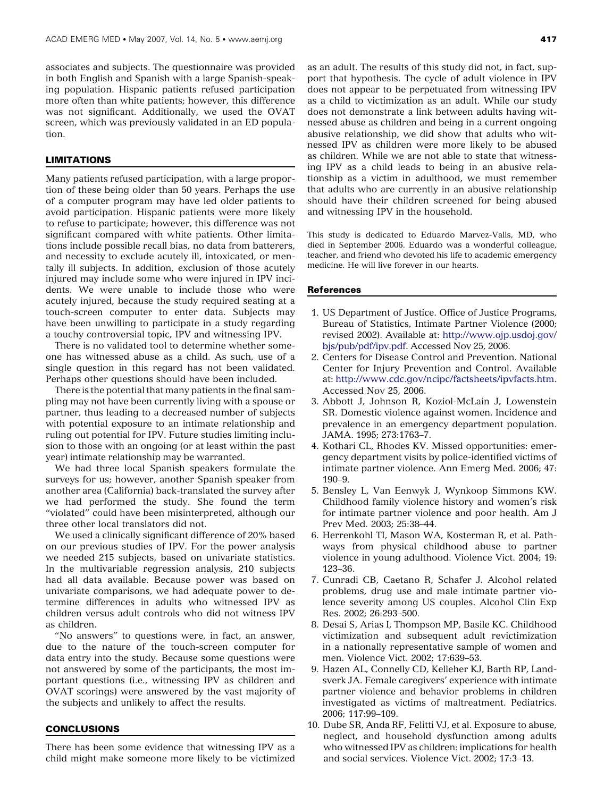<span id="page-8-0"></span>associates and subjects. The questionnaire was provided in both English and Spanish with a large Spanish-speaking population. Hispanic patients refused participation more often than white patients; however, this difference was not significant. Additionally, we used the OVAT screen, which was previously validated in an ED population.

# LIMITATIONS

Many patients refused participation, with a large proportion of these being older than 50 years. Perhaps the use of a computer program may have led older patients to avoid participation. Hispanic patients were more likely to refuse to participate; however, this difference was not significant compared with white patients. Other limitations include possible recall bias, no data from batterers, and necessity to exclude acutely ill, intoxicated, or mentally ill subjects. In addition, exclusion of those acutely injured may include some who were injured in IPV incidents. We were unable to include those who were acutely injured, because the study required seating at a touch-screen computer to enter data. Subjects may have been unwilling to participate in a study regarding a touchy controversial topic, IPV and witnessing IPV.

There is no validated tool to determine whether someone has witnessed abuse as a child. As such, use of a single question in this regard has not been validated. Perhaps other questions should have been included.

There is the potential that many patients in the final sampling may not have been currently living with a spouse or partner, thus leading to a decreased number of subjects with potential exposure to an intimate relationship and ruling out potential for IPV. Future studies limiting inclusion to those with an ongoing (or at least within the past year) intimate relationship may be warranted.

We had three local Spanish speakers formulate the surveys for us; however, another Spanish speaker from another area (California) back-translated the survey after we had performed the study. She found the term "violated" could have been misinterpreted, although our three other local translators did not.

We used a clinically significant difference of 20% based on our previous studies of IPV. For the power analysis we needed 215 subjects, based on univariate statistics. In the multivariable regression analysis, 210 subjects had all data available. Because power was based on univariate comparisons, we had adequate power to determine differences in adults who witnessed IPV as children versus adult controls who did not witness IPV as children.

"No answers" to questions were, in fact, an answer, due to the nature of the touch-screen computer for data entry into the study. Because some questions were not answered by some of the participants, the most important questions (i.e., witnessing IPV as children and OVAT scorings) were answered by the vast majority of the subjects and unlikely to affect the results.

### CONCLUSIONS

There has been some evidence that witnessing IPV as a child might make someone more likely to be victimized

as an adult. The results of this study did not, in fact, support that hypothesis. The cycle of adult violence in IPV does not appear to be perpetuated from witnessing IPV as a child to victimization as an adult. While our study does not demonstrate a link between adults having witnessed abuse as children and being in a current ongoing abusive relationship, we did show that adults who witnessed IPV as children were more likely to be abused as children. While we are not able to state that witnessing IPV as a child leads to being in an abusive relationship as a victim in adulthood, we must remember that adults who are currently in an abusive relationship should have their children screened for being abused and witnessing IPV in the household.

This study is dedicated to Eduardo Marvez-Valls, MD, who died in September 2006. Eduardo was a wonderful colleague, teacher, and friend who devoted his life to academic emergency medicine. He will live forever in our hearts.

#### References

- 1. US Department of Justice. Office of Justice Programs, Bureau of Statistics, Intimate Partner Violence (2000; revised 2002). Available at: [http://www.ojp.usdoj.gov/](http://www.ojp.usdoj.gov/bjs/pub/pdf/ipv.pdf) [bjs/pub/pdf/ipv.pdf](http://www.ojp.usdoj.gov/bjs/pub/pdf/ipv.pdf). Accessed Nov 25, 2006.
- 2. Centers for Disease Control and Prevention. National Center for Injury Prevention and Control. Available at: <http://www.cdc.gov/ncipc/factsheets/ipvfacts.htm>. Accessed Nov 25, 2006.
- 3. Abbott J, Johnson R, Koziol-McLain J, Lowenstein SR. Domestic violence against women. Incidence and prevalence in an emergency department population. JAMA. 1995; 273:1763–7.
- 4. Kothari CL, Rhodes KV. Missed opportunities: emergency department visits by police-identified victims of intimate partner violence. Ann Emerg Med. 2006; 47: 190–9.
- 5. Bensley L, Van Eenwyk J, Wynkoop Simmons KW. Childhood family violence history and women's risk for intimate partner violence and poor health. Am J Prev Med. 2003; 25:38–44.
- 6. Herrenkohl TI, Mason WA, Kosterman R, et al. Pathways from physical childhood abuse to partner violence in young adulthood. Violence Vict. 2004; 19: 123–36.
- 7. Cunradi CB, Caetano R, Schafer J. Alcohol related problems, drug use and male intimate partner violence severity among US couples. Alcohol Clin Exp Res. 2002; 26:293–500.
- 8. Desai S, Arias I, Thompson MP, Basile KC. Childhood victimization and subsequent adult revictimization in a nationally representative sample of women and men. Violence Vict. 2002; 17:639–53.
- 9. Hazen AL, Connelly CD, Kelleher KJ, Barth RP, Landsverk JA. Female caregivers' experience with intimate partner violence and behavior problems in children investigated as victims of maltreatment. Pediatrics. 2006; 117:99–109.
- 10. Dube SR, Anda RF, Felitti VJ, et al. Exposure to abuse, neglect, and household dysfunction among adults who witnessed IPV as children: implications for health and social services. Violence Vict. 2002; 17:3–13.